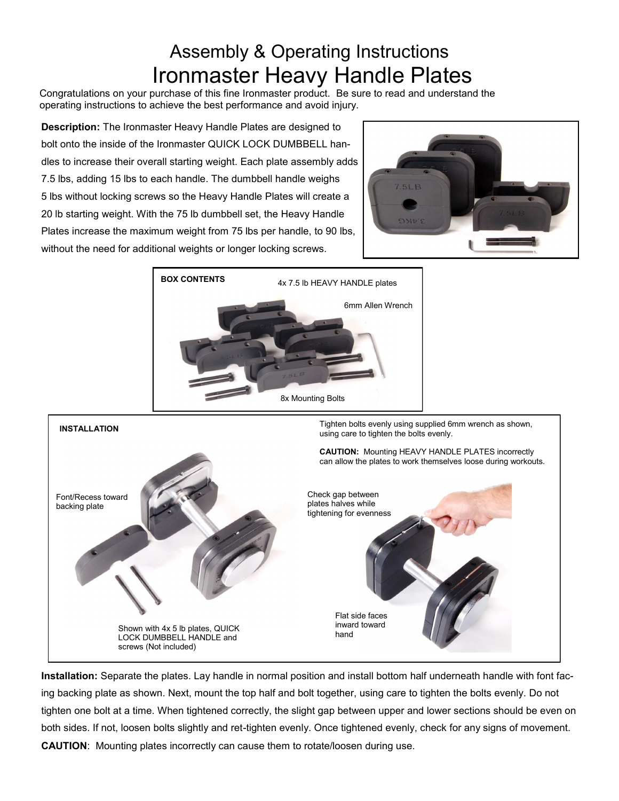## Assembly & Operating Instructions Ironmaster Heavy Handle Plates

Congratulations on your purchase of this fine Ironmaster product. Be sure to read and understand the operating instructions to achieve the best performance and avoid injury.

**Description:** The Ironmaster Heavy Handle Plates are designed to bolt onto the inside of the Ironmaster QUICK LOCK DUMBBELL handles to increase their overall starting weight. Each plate assembly adds 7.5 lbs, adding 15 lbs to each handle. The dumbbell handle weighs 5 lbs without locking screws so the Heavy Handle Plates will create a 20 lb starting weight. With the 75 lb dumbbell set, the Heavy Handle Plates increase the maximum weight from 75 lbs per handle, to 90 lbs, without the need for additional weights or longer locking screws.







**Installation:** Separate the plates. Lay handle in normal position and install bottom half underneath handle with font facing backing plate as shown. Next, mount the top half and bolt together, using care to tighten the bolts evenly. Do not tighten one bolt at a time. When tightened correctly, the slight gap between upper and lower sections should be even on both sides. If not, loosen bolts slightly and ret-tighten evenly. Once tightened evenly, check for any signs of movement. **CAUTION**: Mounting plates incorrectly can cause them to rotate/loosen during use.